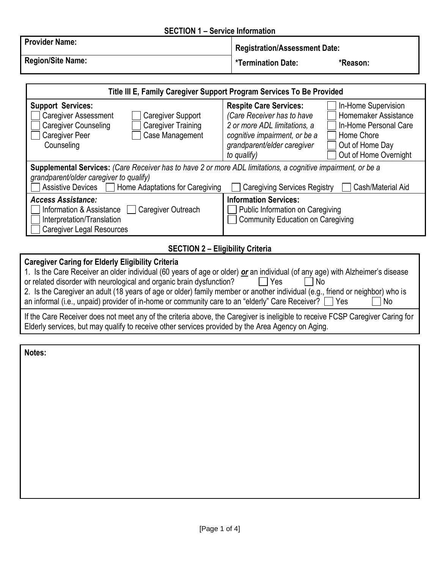#### **SECTION 1 – Service Information**

| <b>Provider Name:</b>    | <b>Registration/Assessment Date:</b> |          |
|--------------------------|--------------------------------------|----------|
| <b>Region/Site Name:</b> | *Termination Date:                   | *Reason: |

| Title III E, Family Caregiver Support Program Services To Be Provided                                                                                                                                                                                                                |                                                                                                                                                                                                                                                                                                              |  |  |
|--------------------------------------------------------------------------------------------------------------------------------------------------------------------------------------------------------------------------------------------------------------------------------------|--------------------------------------------------------------------------------------------------------------------------------------------------------------------------------------------------------------------------------------------------------------------------------------------------------------|--|--|
| <b>Support Services:</b><br><b>Caregiver Assessment</b><br><b>Caregiver Support</b><br><b>Caregiver Counseling</b><br><b>Caregiver Training</b><br>Case Management<br><b>Caregiver Peer</b><br>Counseling                                                                            | <b>Respite Care Services:</b><br>In-Home Supervision<br>Homemaker Assistance<br>(Care Receiver has to have<br>2 or more ADL limitations, a<br>In-Home Personal Care<br>cognitive impairment, or be a<br>Home Chore<br>grandparent/elder caregiver<br>Out of Home Day<br>Out of Home Overnight<br>to qualify) |  |  |
| <b>Supplemental Services:</b> (Care Receiver has to have 2 or more ADL limitations, a cognitive impairment, or be a<br>grandparent/older caregiver to qualify)<br>Assistive Devices [<br>Home Adaptations for Caregiving<br>Cash/Material Aid<br><b>Caregiving Services Registry</b> |                                                                                                                                                                                                                                                                                                              |  |  |
| <b>Access Assistance:</b><br>Information & Assistance<br>Caregiver Outreach<br>Interpretation/Translation<br><b>Caregiver Legal Resources</b>                                                                                                                                        | <b>Information Services:</b><br>Public Information on Caregiving<br><b>Community Education on Caregiving</b>                                                                                                                                                                                                 |  |  |
|                                                                                                                                                                                                                                                                                      |                                                                                                                                                                                                                                                                                                              |  |  |

## **SECTION 2 – Eligibility Criteria**

## **Caregiver Caring for Elderly Eligibility Criteria**  1. Is the Care Receiver an older individual (60 years of age or older) *or* an individual (of any age) with Alzheimer's disease or related disorder with neurological and organic brain dysfunction?  $\Box$  Yes  $\Box$  No 2. Is the Caregiver an adult (18 years of age or older) family member or another individual (e.g., friend or neighbor) who is an informal (i.e., unpaid) provider of in-home or community care to an "elderly" Care Receiver?  $\Box$  Yes  $\Box$  No If the Care Receiver does not meet any of the criteria above, the Caregiver is ineligible to receive FCSP Caregiver Caring for Elderly services, but may qualify to receive other services provided by the Area Agency on Aging.

**Notes:**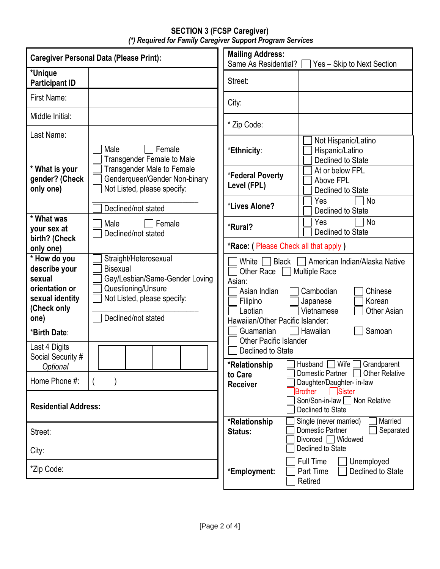### **SECTION 3 (FCSP Caregiver)** *(\*) Required for Family Caregiver Support Program Services*

| <b>Mailing Address:</b><br><b>Caregiver Personal Data (Please Print):</b><br>Same As Residential? |                                                                                                                                 |                                                                                      | Yes - Skip to Next Section                                                                                                              |
|---------------------------------------------------------------------------------------------------|---------------------------------------------------------------------------------------------------------------------------------|--------------------------------------------------------------------------------------|-----------------------------------------------------------------------------------------------------------------------------------------|
| *Unique<br><b>Participant ID</b>                                                                  |                                                                                                                                 | Street:                                                                              |                                                                                                                                         |
| First Name:                                                                                       |                                                                                                                                 | City:                                                                                |                                                                                                                                         |
| Middle Initial:                                                                                   |                                                                                                                                 | * Zip Code:                                                                          |                                                                                                                                         |
| Last Name:                                                                                        | Female<br>Male<br><b>Transgender Female to Male</b>                                                                             | *Ethnicity:                                                                          | Not Hispanic/Latino<br>Hispanic/Latino<br>Declined to State                                                                             |
| * What is your<br>gender? (Check<br>only one)                                                     | <b>Transgender Male to Female</b><br>Genderqueer/Gender Non-binary<br>Not Listed, please specify:                               | *Federal Poverty<br>Level (FPL)                                                      | At or below FPL<br>Above FPL<br>Declined to State                                                                                       |
|                                                                                                   | Declined/not stated                                                                                                             | *Lives Alone?                                                                        | <b>No</b><br>Yes<br>Declined to State                                                                                                   |
| * What was<br>your sex at                                                                         | Male<br>Female<br>Declined/not stated                                                                                           | *Rural?                                                                              | Yes<br><b>No</b><br>Declined to State                                                                                                   |
| birth? (Check<br>only one)                                                                        |                                                                                                                                 |                                                                                      | *Race: (Please Check all that apply)                                                                                                    |
| * How do you<br>describe your<br>sexual<br>orientation or<br>sexual identity<br>(Check only       | Straight/Heterosexual<br><b>Bisexual</b><br>Gay/Lesbian/Same-Gender Loving<br>Questioning/Unsure<br>Not Listed, please specify: | White<br><b>Black</b><br>Other Race<br>Asian:<br>Asian Indian<br>Filipino<br>Laotian | American Indian/Alaska Native<br><b>Multiple Race</b><br>Cambodian<br>Chinese<br>Korean<br>Japanese<br>Vietnamese<br><b>Other Asian</b> |
| one)<br>*Birth Date:                                                                              | Declined/not stated                                                                                                             | Hawaiian/Other Pacific Islander:<br>Guamanian                                        | Hawaiian<br>Samoan                                                                                                                      |
| Last 4 Digits<br>Social Security #                                                                |                                                                                                                                 | <b>Other Pacific Islander</b><br>Declined to State                                   | Husband<br>Wife<br>Grandparent                                                                                                          |
| <b>Optional</b><br>Home Phone #:                                                                  |                                                                                                                                 | *Relationship<br>to Care<br><b>Receiver</b>                                          | Domestic Partner   Other Relative<br>Daughter/Daughter- in-law                                                                          |
| <b>Residential Address:</b>                                                                       |                                                                                                                                 |                                                                                      | Brother<br><b>□</b> Sister<br>Son/Son-in-law   Non Relative<br>Declined to State                                                        |
| Street:                                                                                           |                                                                                                                                 | *Relationship<br>Status:                                                             | Married<br>Single (never married)<br>Domestic Partner<br>Separated<br>Divorced □ Widowed<br>Declined to State                           |
| City:                                                                                             |                                                                                                                                 |                                                                                      | <b>Full Time</b><br>Unemployed                                                                                                          |
| *Zip Code:                                                                                        |                                                                                                                                 | *Employment:                                                                         | Part Time<br>Declined to State<br>Retired                                                                                               |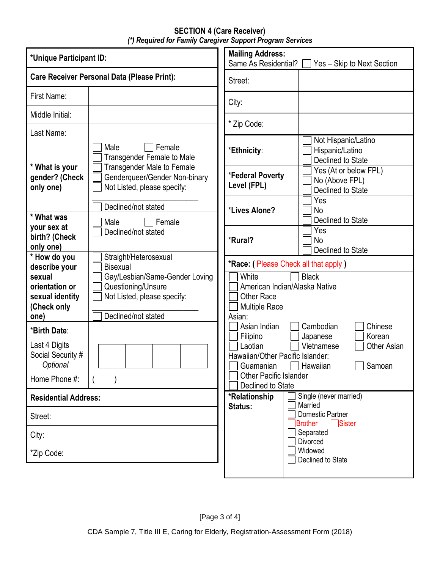### **SECTION 4 (Care Receiver)** *(\*) Required for Family Caregiver Support Program Services*

| <b>Mailing Address:</b><br>*Unique Participant ID:<br>Same As Residential? |                                                                                                            | Yes - Skip to Next Section                                                                    |                                                              |
|----------------------------------------------------------------------------|------------------------------------------------------------------------------------------------------------|-----------------------------------------------------------------------------------------------|--------------------------------------------------------------|
|                                                                            | <b>Care Receiver Personal Data (Please Print):</b>                                                         | Street:                                                                                       |                                                              |
| First Name:                                                                |                                                                                                            | City:                                                                                         |                                                              |
| Middle Initial:                                                            |                                                                                                            | * Zip Code:                                                                                   |                                                              |
| Last Name:                                                                 |                                                                                                            |                                                                                               |                                                              |
| * What is your                                                             | Female<br>Male<br>Transgender Female to Male<br><b>Transgender Male to Female</b>                          | *Ethnicity:                                                                                   | Not Hispanic/Latino<br>Hispanic/Latino<br>Declined to State  |
| gender? (Check<br>only one)                                                | Genderqueer/Gender Non-binary<br>Not Listed, please specify:                                               | *Federal Poverty<br>Level (FPL)                                                               | Yes (At or below FPL)<br>No (Above FPL)<br>Declined to State |
| * What was                                                                 | Declined/not stated<br>Male<br>Female                                                                      | *Lives Alone?                                                                                 | Yes<br>No<br>Declined to State                               |
| your sex at<br>birth? (Check<br>only one)                                  | Declined/not stated                                                                                        | *Rural?                                                                                       | Yes<br>No<br>Declined to State                               |
| * How do you<br>describe your                                              | Straight/Heterosexual<br><b>Bisexual</b>                                                                   | *Race: ( Please Check all that apply )                                                        |                                                              |
| sexual<br>orientation or<br>sexual identity<br>(Check only<br>one)         | Gay/Lesbian/Same-Gender Loving<br>Questioning/Unsure<br>Not Listed, please specify:<br>Declined/not stated | White<br>American Indian/Alaska Native<br><b>Other Race</b><br><b>Multiple Race</b><br>Asian: | <b>Black</b>                                                 |
| *Birth Date:                                                               |                                                                                                            | Asian Indian<br>Filipino                                                                      | Chinese<br>Cambodian<br>Korean<br>Japanese                   |
| Last 4 Digits<br>Social Security #<br>Optional                             |                                                                                                            | Laotian<br>Hawaiian/Other Pacific Islander:<br>Guamanian                                      | Vietnamese<br>Other Asian<br>Samoan<br>Hawaiian              |
| Home Phone #:                                                              |                                                                                                            | <b>Other Pacific Islander</b><br>Declined to State                                            |                                                              |
| <b>Residential Address:</b>                                                |                                                                                                            | *Relationship                                                                                 | Single (never married)<br>Married                            |
| Street:                                                                    |                                                                                                            | Status:                                                                                       | <b>Domestic Partner</b><br>$\Box$ Sister<br>Brother          |
| City:                                                                      |                                                                                                            |                                                                                               | Separated<br><b>Divorced</b>                                 |
| *Zip Code:                                                                 |                                                                                                            |                                                                                               | Widowed<br>Declined to State                                 |
|                                                                            |                                                                                                            |                                                                                               |                                                              |